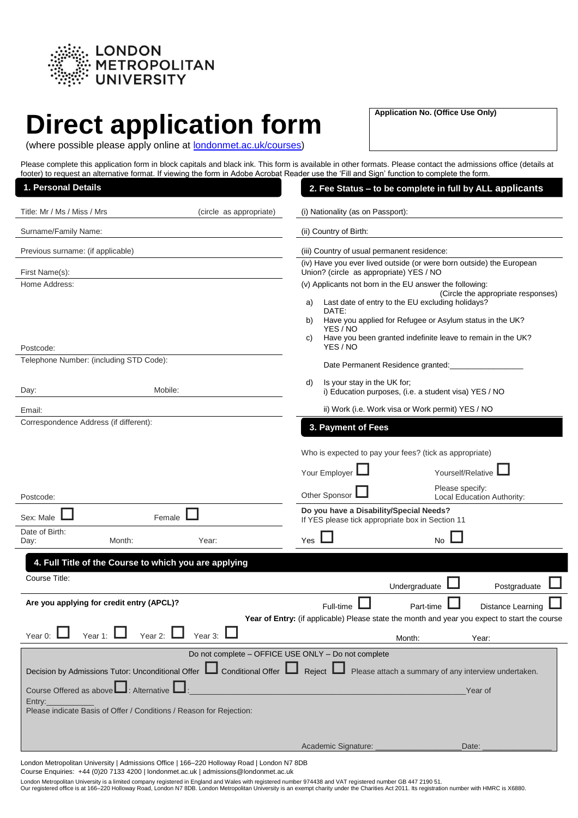

# **Direct application form**

**Application No. (Office Use Only)**

| (where possible please apply online at <b>londonmet.ac.uk/courses)</b> |  |  |
|------------------------------------------------------------------------|--|--|
|                                                                        |  |  |

Please complete this application form in block capitals and black ink. This form is available in other formats. Please contact the admissions office (details at footer) to request an alternative format. If viewing the form in Adobe Acrobat Reader use the 'Fill and Sign' function to complete the form.

| 1. Personal Details                                                   | 2. Fee Status - to be complete in full by ALL applicants                                                        |
|-----------------------------------------------------------------------|-----------------------------------------------------------------------------------------------------------------|
| Title: Mr / Ms / Miss / Mrs<br>(circle as appropriate)                | (i) Nationality (as on Passport):                                                                               |
| Surname/Family Name:                                                  | (ii) Country of Birth:                                                                                          |
| Previous surname: (if applicable)                                     | (iii) Country of usual permanent residence:                                                                     |
| First Name(s):                                                        | (iv) Have you ever lived outside (or were born outside) the European<br>Union? (circle as appropriate) YES / NO |
| Home Address:                                                         | (v) Applicants not born in the EU answer the following:<br>(Circle the appropriate responses)                   |
|                                                                       | Last date of entry to the EU excluding holidays?<br>a)<br>DATE:                                                 |
|                                                                       | Have you applied for Refugee or Asylum status in the UK?<br>b)<br>YES / NO                                      |
| Postcode:                                                             | Have you been granted indefinite leave to remain in the UK?<br>C)<br>YES / NO                                   |
| Telephone Number: (including STD Code):                               | Date Permanent Residence granted:                                                                               |
| Mobile:<br>Day:                                                       | Is your stay in the UK for;<br>d)<br>i) Education purposes, (i.e. a student visa) YES / NO                      |
| Email:                                                                | ii) Work (i.e. Work visa or Work permit) YES / NO                                                               |
| Correspondence Address (if different):                                | 3. Payment of Fees                                                                                              |
|                                                                       | Who is expected to pay your fees? (tick as appropriate)                                                         |
|                                                                       | Yourself/Relative<br>Your Employer                                                                              |
|                                                                       | Please specify:                                                                                                 |
| Postcode:                                                             | Other Sponsor<br>Local Education Authority:<br>Do you have a Disability/Special Needs?                          |
| Sex: Male<br>Female<br>Date of Birth:                                 | If YES please tick appropriate box in Section 11                                                                |
| Month:<br>Year:<br>Day:                                               | Yes<br><b>No</b>                                                                                                |
| 4. Full Title of the Course to which you are applying                 |                                                                                                                 |
| Course Title:                                                         | Undergraduate<br>Postgraduate                                                                                   |
| Are you applying for credit entry (APCL)?                             | Full-time<br>Part-time<br><b>Distance Learning</b>                                                              |
|                                                                       | Year of Entry: (if applicable) Please state the month and year you expect to start the course                   |
| Year 2:<br>Year 3:<br>Year 1:<br>Year 0:                              | Month:<br>Year:                                                                                                 |
| Do not complete - OFFICE USE ONLY - Do not complete                   |                                                                                                                 |
| Decision by Admissions Tutor: Unconditional Offer                     | Conditional Offer <b>Legient</b> Reject <b>Legie</b> Please attach a summary of any interview undertaken.       |
| Course Offered as above<br>$\Box$ : Alternative $\mathsf I$<br>Entry: | Year of                                                                                                         |
| Please indicate Basis of Offer / Conditions / Reason for Rejection:   |                                                                                                                 |
|                                                                       |                                                                                                                 |
|                                                                       | Academic Signature:<br>Date:                                                                                    |

London Metropolitan University | Admissions Office | 166–220 Holloway Road | London N7 8DB Course Enquiries: +44 (0)20 7133 4200 | londonmet.ac.uk | admissions@londonmet.ac.uk

London Metropolitan University is a limited company registered in England and Wales with registered number 974438 and VAT registered number GB 447 2190 51.<br>Our registered office is at 166–220 Holloway Road, London N7 8DB.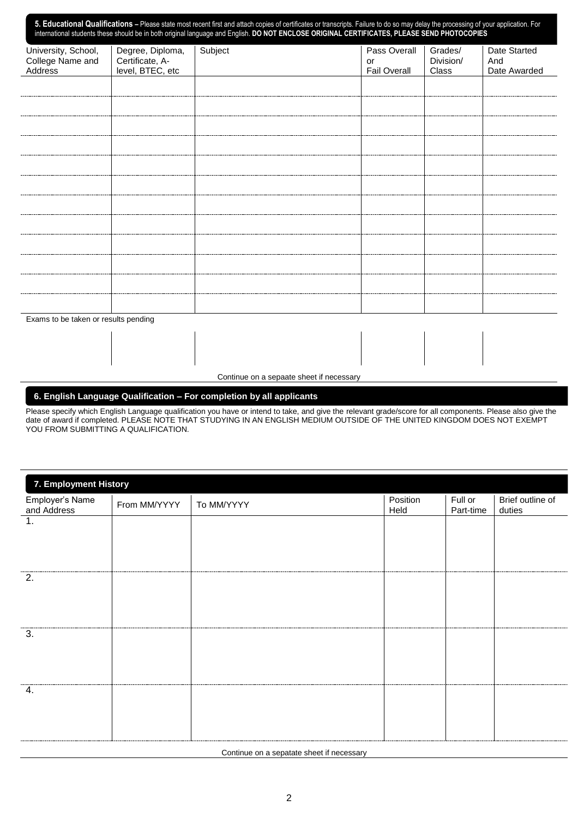| 5. Educational Qualifications - Please state most recent first and attach copies of certificates or transcripts. Failure to do so may delay the processing of your application. For international students these should be in |                                     |         |                     |                      |                     |
|-------------------------------------------------------------------------------------------------------------------------------------------------------------------------------------------------------------------------------|-------------------------------------|---------|---------------------|----------------------|---------------------|
| University, School,<br>College Name and                                                                                                                                                                                       | Degree, Diploma,<br>Certificate, A- | Subject | Pass Overall<br>or  | Grades/<br>Division/ | Date Started<br>And |
| Address                                                                                                                                                                                                                       | level, BTEC, etc                    |         | <b>Fail Overall</b> | Class                | Date Awarded        |
|                                                                                                                                                                                                                               |                                     |         |                     |                      |                     |
|                                                                                                                                                                                                                               |                                     |         |                     |                      |                     |
|                                                                                                                                                                                                                               |                                     |         |                     |                      |                     |
|                                                                                                                                                                                                                               |                                     |         |                     |                      |                     |
|                                                                                                                                                                                                                               |                                     |         |                     |                      |                     |
|                                                                                                                                                                                                                               |                                     |         |                     |                      |                     |
|                                                                                                                                                                                                                               |                                     |         |                     |                      |                     |
|                                                                                                                                                                                                                               |                                     |         |                     |                      |                     |
|                                                                                                                                                                                                                               |                                     |         |                     |                      |                     |
|                                                                                                                                                                                                                               |                                     |         |                     |                      |                     |
|                                                                                                                                                                                                                               |                                     |         |                     |                      |                     |
|                                                                                                                                                                                                                               |                                     |         |                     |                      |                     |
| Exams to be taken or results pending                                                                                                                                                                                          |                                     |         |                     |                      |                     |
|                                                                                                                                                                                                                               |                                     |         |                     |                      |                     |
|                                                                                                                                                                                                                               |                                     |         |                     |                      |                     |

Continue on a sepaate sheet if necessary

# **6. English Language Qualification – For completion by all applicants**

Please specify which English Language qualification you have or intend to take, and give the relevant grade/score for all components. Please also give the date of award if completed. PLEASE NOTE THAT STUDYING IN AN ENGLISH MEDIUM OUTSIDE OF THE UNITED KINGDOM DOES NOT EXEMPT **FOU FROM SUBMITTING A QUALIFICATION.** 

| 7. Employment History          |              |            |                  |                      |                            |
|--------------------------------|--------------|------------|------------------|----------------------|----------------------------|
| Employer's Name<br>and Address | From MM/YYYY | To MM/YYYY | Position<br>Held | Full or<br>Part-time | Brief outline of<br>duties |
| 1.                             |              |            |                  |                      |                            |
|                                |              |            |                  |                      |                            |
|                                |              |            |                  |                      |                            |
| 2.                             |              |            |                  |                      |                            |
|                                |              |            |                  |                      |                            |
|                                |              |            |                  |                      |                            |
| 3.                             |              |            |                  |                      |                            |
|                                |              |            |                  |                      |                            |
|                                |              |            |                  |                      |                            |
| 4.                             |              |            |                  |                      |                            |
|                                |              |            |                  |                      |                            |
|                                |              |            |                  |                      |                            |

Continue on a sepatate sheet if necessary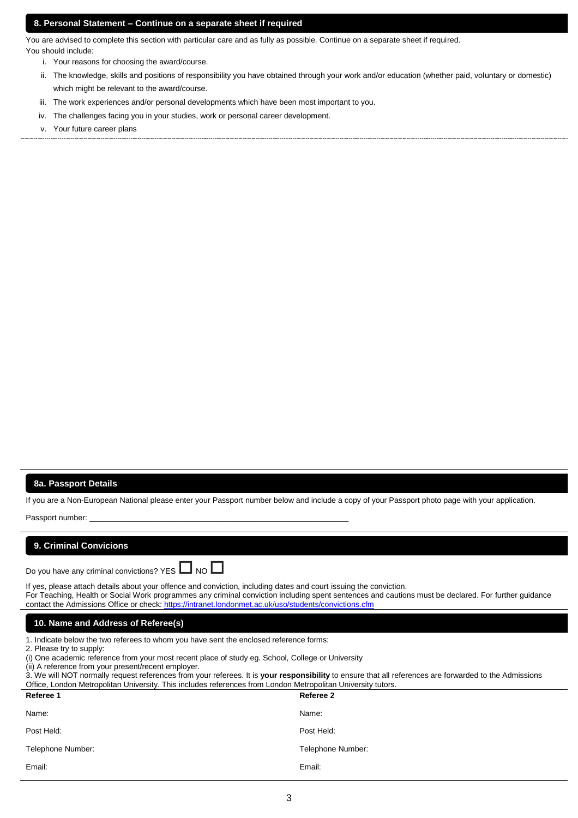# **8. Personal Statement – Continue on a separate sheet if required**

You are advised to complete this section with particular care and as fully as possible. Continue on a separate sheet if required. You should include:

- u snould include:<br>**i. Your reasons for choosing the award/cours**e.
- ii. The knowledge, skills and positions of responsibility you have obtained through your work and/or education (whether paid, voluntary or domestic) which might be relevant to the award/course.
- iii. The work experiences and/or personal developments which have been most important to you.
- iv. The challenges facing you in your studies, work or personal career development.
- v. Your future career plans

### **8a. Passport Details**

If you are a Non-European National please enter your Passport number below and include a copy of your Passport photo page with your application.<br>

| Passport number:                                                                                                                                                                                                                                                                                                                                                                                                                                                                                                                                         |                   |  |
|----------------------------------------------------------------------------------------------------------------------------------------------------------------------------------------------------------------------------------------------------------------------------------------------------------------------------------------------------------------------------------------------------------------------------------------------------------------------------------------------------------------------------------------------------------|-------------------|--|
| 9. Criminal Convicions                                                                                                                                                                                                                                                                                                                                                                                                                                                                                                                                   |                   |  |
| Do you have any criminal convictions? YES $\Box$ NO $\Box$                                                                                                                                                                                                                                                                                                                                                                                                                                                                                               |                   |  |
| If yes, please attach details about your offence and conviction, including dates and court issuing the conviction.<br>For Teaching, Health or Social Work programmes any criminal conviction including spent sentences and cautions must be declared. For further guidance<br>contact the Admissions Office or check: https://intranet.londonmet.ac.uk/uso/students/convictions.cfm                                                                                                                                                                      |                   |  |
| 10. Name and Address of Referee(s)                                                                                                                                                                                                                                                                                                                                                                                                                                                                                                                       |                   |  |
| 1. Indicate below the two referees to whom you have sent the enclosed reference forms:<br>2. Please try to supply:<br>(i) One academic reference from your most recent place of study eg. School, College or University<br>(ii) A reference from your present/recent employer.<br>3. We will NOT normally request references from your referees. It is your responsibility to ensure that all references are forwarded to the Admissions<br>Office, London Metropolitan University. This includes references from London Metropolitan University tutors. |                   |  |
| Referee 1                                                                                                                                                                                                                                                                                                                                                                                                                                                                                                                                                | Referee 2         |  |
| Name:                                                                                                                                                                                                                                                                                                                                                                                                                                                                                                                                                    | Name:             |  |
| Post Held:                                                                                                                                                                                                                                                                                                                                                                                                                                                                                                                                               | Post Held:        |  |
| Telephone Number:                                                                                                                                                                                                                                                                                                                                                                                                                                                                                                                                        | Telephone Number: |  |
| Email:                                                                                                                                                                                                                                                                                                                                                                                                                                                                                                                                                   | Email:            |  |